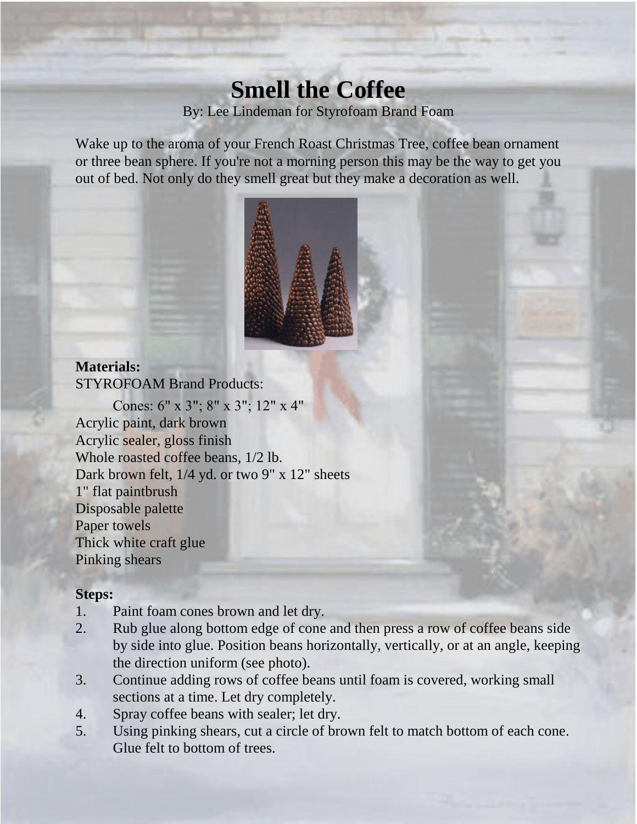# **Smell the Coffee** By: Lee Lindeman for Styrofoam Brand Foam

Wake up to the aroma of your French Roast Christmas Tree, coffee bean ornament or three bean sphere. If you're not a morning person this may be the way to get you out of bed. Not only do they smell great but they make a decoration as well.



### **Materials:**

STYROFOAM Brand Products:

Cones: 6" x 3"; 8" x 3"; 12" x 4" Acrylic paint, dark brown Acrylic sealer, gloss finish Whole roasted coffee beans, 1/2 lb. Dark brown felt, 1/4 yd. or two 9" x 12" sheets 1" flat paintbrush Disposable palette Paper towels Thick white craft glue Pinking shears

#### **Steps:**

- 1. Paint foam cones brown and let dry.
- 2. Rub glue along bottom edge of cone and then press a row of coffee beans side by side into glue. Position beans horizontally, vertically, or at an angle, keeping the direction uniform (see photo).
- 3. Continue adding rows of coffee beans until foam is covered, working small sections at a time. Let dry completely.
- 4. Spray coffee beans with sealer; let dry.
- 5. Using pinking shears, cut a circle of brown felt to match bottom of each cone. Glue felt to bottom of trees.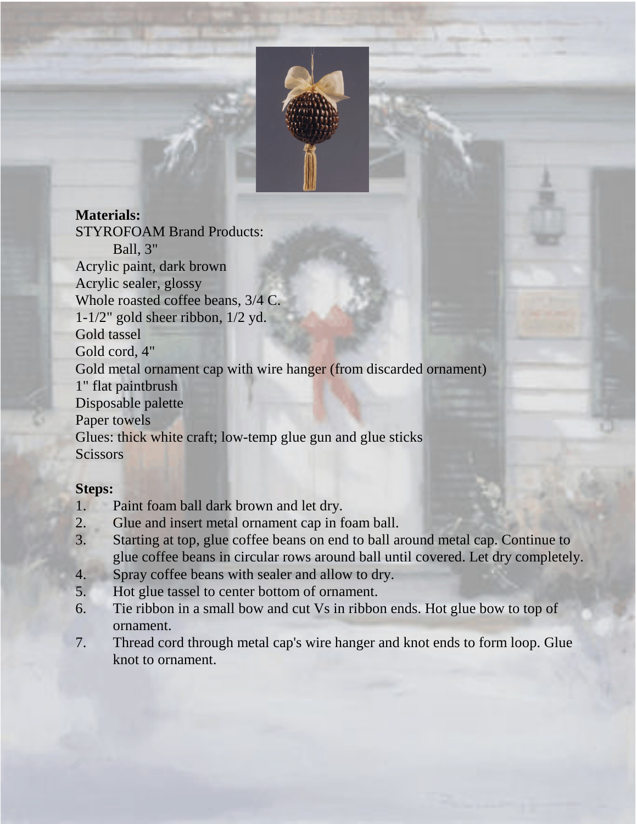

### **Materials:**

STYROFOAM Brand Products: Ball, 3" Acrylic paint, dark brown Acrylic sealer, glossy Whole roasted coffee beans, 3/4 C. 1-1/2" gold sheer ribbon, 1/2 yd. Gold tassel Gold cord, 4" Gold metal ornament cap with wire hanger (from discarded ornament) 1" flat paintbrush Disposable palette Paper towels Glues: thick white craft; low-temp glue gun and glue sticks **Scissors** 

#### **Steps:**

- 1. Paint foam ball dark brown and let dry.
- 2. Glue and insert metal ornament cap in foam ball.
- 3. Starting at top, glue coffee beans on end to ball around metal cap. Continue to glue coffee beans in circular rows around ball until covered. Let dry completely.
- 4. Spray coffee beans with sealer and allow to dry.
- 5. Hot glue tassel to center bottom of ornament.
- 6. Tie ribbon in a small bow and cut Vs in ribbon ends. Hot glue bow to top of ornament.
- 7. Thread cord through metal cap's wire hanger and knot ends to form loop. Glue knot to ornament.